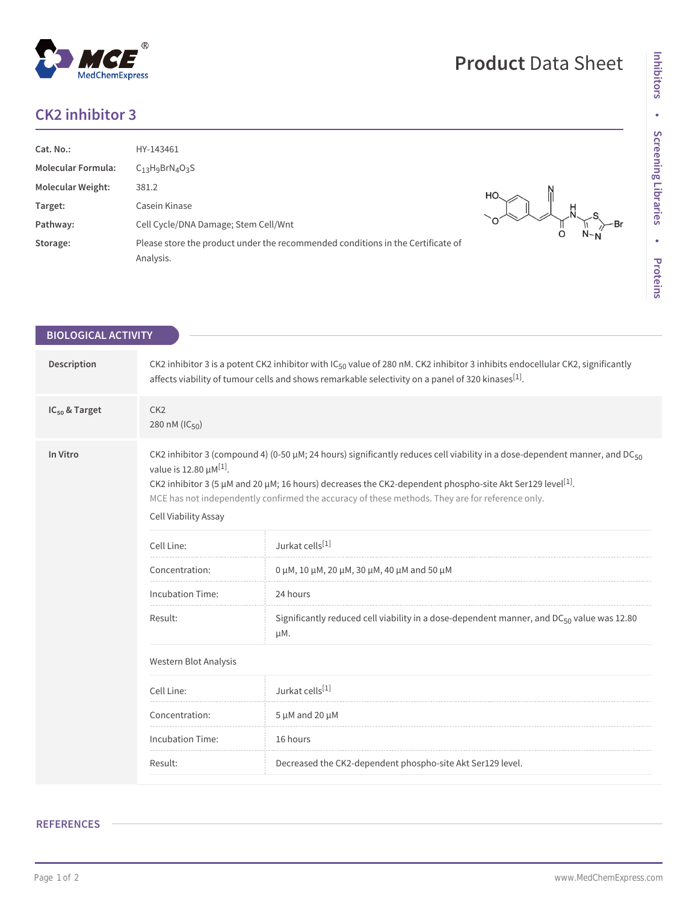## **CK2 inhibitor 3**

**BIOLOGICAL ACTIVITY**

| Cat. No.:<br><b>Molecular Formula:</b><br><b>Molecular Weight:</b><br>Target:<br>Pathway:<br>Storage: | HY-143461<br>$C_{13}H_9BrN_4O_3S$<br>381.2<br>Casein Kinase<br>Cell Cycle/DNA Damage; Stem Cell/Wnt<br>Please store the product under the recommended conditions in the Certificate of<br>Analysis. | HO. |
|-------------------------------------------------------------------------------------------------------|-----------------------------------------------------------------------------------------------------------------------------------------------------------------------------------------------------|-----|
|-------------------------------------------------------------------------------------------------------|-----------------------------------------------------------------------------------------------------------------------------------------------------------------------------------------------------|-----|

| Description               | CK2 inhibitor 3 is a potent CK2 inhibitor with IC <sub>50</sub> value of 280 nM. CK2 inhibitor 3 inhibits endocellular CK2, significantly<br>affects viability of tumour cells and shows remarkable selectivity on a panel of 320 kinases <sup>[1]</sup> .                                                                                                                                                                                 |                                                                                                       |  |
|---------------------------|--------------------------------------------------------------------------------------------------------------------------------------------------------------------------------------------------------------------------------------------------------------------------------------------------------------------------------------------------------------------------------------------------------------------------------------------|-------------------------------------------------------------------------------------------------------|--|
| IC <sub>50</sub> & Target | CK <sub>2</sub><br>280 nM (IC <sub>50</sub> )                                                                                                                                                                                                                                                                                                                                                                                              |                                                                                                       |  |
| In Vitro                  | CK2 inhibitor 3 (compound 4) (0-50 $\mu$ M; 24 hours) significantly reduces cell viability in a dose-dependent manner, and DC <sub>50</sub><br>value is 12.80 $\mu$ M <sup>[1]</sup> .<br>CK2 inhibitor 3 (5 µM and 20 µM; 16 hours) decreases the CK2-dependent phospho-site Akt Ser129 level <sup>[1]</sup> .<br>MCE has not independently confirmed the accuracy of these methods. They are for reference only.<br>Cell Viability Assay |                                                                                                       |  |
|                           | Cell Line:                                                                                                                                                                                                                                                                                                                                                                                                                                 | Jurkat cells[1]                                                                                       |  |
|                           | Concentration:                                                                                                                                                                                                                                                                                                                                                                                                                             | 0 $\mu$ M, 10 $\mu$ M, 20 $\mu$ M, 30 $\mu$ M, 40 $\mu$ M and 50 $\mu$ M                              |  |
|                           | <b>Incubation Time:</b>                                                                                                                                                                                                                                                                                                                                                                                                                    | 24 hours                                                                                              |  |
|                           | Result:                                                                                                                                                                                                                                                                                                                                                                                                                                    | Significantly reduced cell viability in a dose-dependent manner, and $DC_{50}$ value was 12.80<br>μM. |  |
|                           | Western Blot Analysis                                                                                                                                                                                                                                                                                                                                                                                                                      |                                                                                                       |  |
|                           | Cell Line:                                                                                                                                                                                                                                                                                                                                                                                                                                 | Jurkat cells[1]                                                                                       |  |
|                           | Concentration:                                                                                                                                                                                                                                                                                                                                                                                                                             | $5 \mu M$ and 20 $\mu M$                                                                              |  |
|                           | <b>Incubation Time:</b>                                                                                                                                                                                                                                                                                                                                                                                                                    | 16 hours                                                                                              |  |
|                           | Result:                                                                                                                                                                                                                                                                                                                                                                                                                                    | Decreased the CK2-dependent phospho-site Akt Ser129 level.                                            |  |

\<br>N-N<br>N-N

**Inhibitors**

Inhibitors

**•**

**Screening Libraries**

**•**

**Proteins**

## **Product** Data Sheet